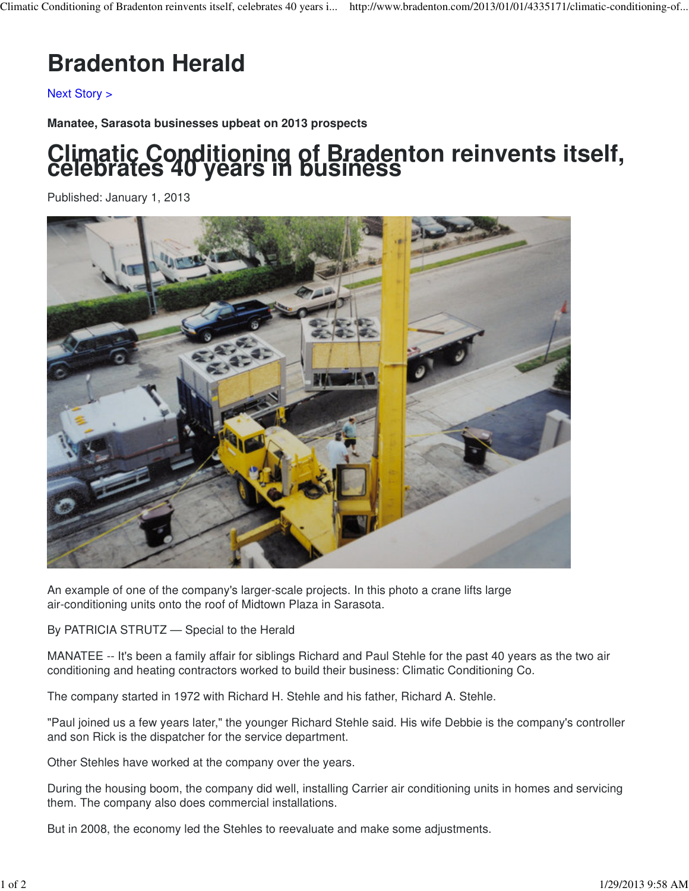## **Bradenton Herald**

Next Story >

**Manatee, Sarasota businesses upbeat on 2013 prospects**

## **Climatic Conditioning of Bradenton reinvents itself, celebrates 40 years in business**

Published: January 1, 2013



An example of one of the company's larger-scale projects. In this photo a crane lifts large air-conditioning units onto the roof of Midtown Plaza in Sarasota.

By PATRICIA STRUTZ — Special to the Herald

MANATEE -- It's been a family affair for siblings Richard and Paul Stehle for the past 40 years as the two air conditioning and heating contractors worked to build their business: Climatic Conditioning Co.

The company started in 1972 with Richard H. Stehle and his father, Richard A. Stehle.

"Paul joined us a few years later," the younger Richard Stehle said. His wife Debbie is the company's controller and son Rick is the dispatcher for the service department.

Other Stehles have worked at the company over the years.

During the housing boom, the company did well, installing Carrier air conditioning units in homes and servicing them. The company also does commercial installations.

But in 2008, the economy led the Stehles to reevaluate and make some adjustments.